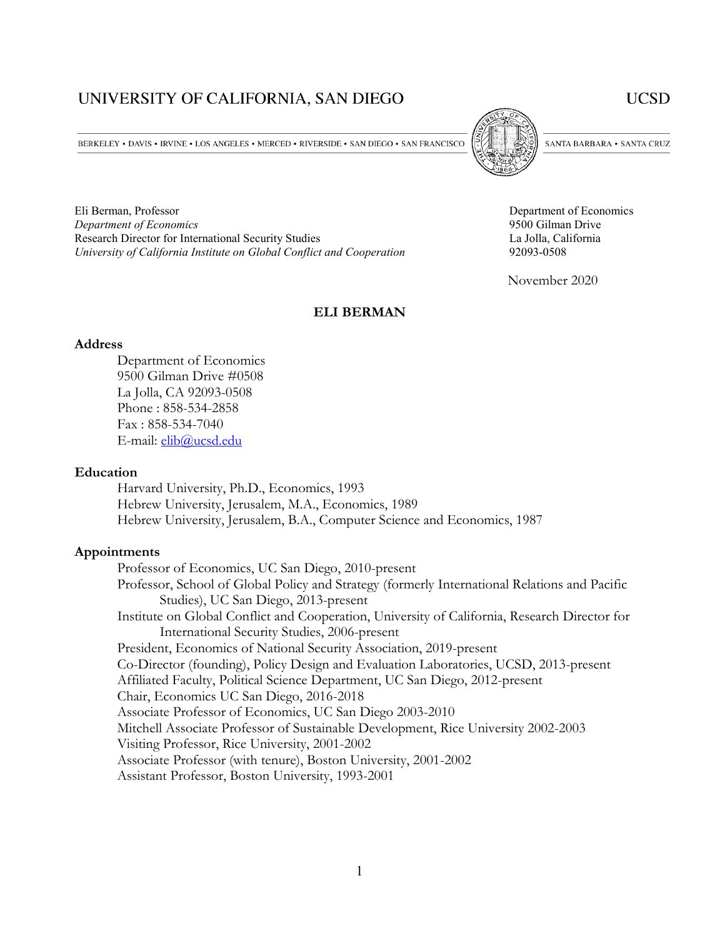# UNIVERSITY OF CALIFORNIA, SAN DIEGO

**UCSD** 

BERKELEY • DAVIS • IRVINE • LOS ANGELES • MERCED • RIVERSIDE • SAN DIEGO • SAN FRANCISCO

Eli Berman, Professor Department of Economics *Department of Economics* 9500 Gilman Drive Research Director for International Security Studies La Jolla, California *University of California Institute on Global Conflict and Cooperation* 92093-0508



SANTA BARBARA . SANTA CRUZ

November 2020

#### **ELI BERMAN**

#### **Address**

Department of Economics 9500 Gilman Drive #0508 La Jolla, CA 92093-0508 Phone : 858-534-2858 Fax : 858-534-7040 E-mail: [elib@ucsd.edu](mailto:elib@ucsd.edu)

#### **Education**

Harvard University, Ph.D., Economics, 1993 Hebrew University, Jerusalem, M.A., Economics, 1989 Hebrew University, Jerusalem, B.A., Computer Science and Economics, 1987

#### **Appointments**

Professor of Economics, UC San Diego, 2010-present Professor, School of Global Policy and Strategy (formerly International Relations and Pacific Studies), UC San Diego, 2013-present Institute on Global Conflict and Cooperation, University of California, Research Director for International Security Studies, 2006-present President, Economics of National Security Association, 2019-present Co-Director (founding), Policy Design and Evaluation Laboratories, UCSD, 2013-present Affiliated Faculty, Political Science Department, UC San Diego, 2012-present Chair, Economics UC San Diego, 2016-2018 Associate Professor of Economics, UC San Diego 2003-2010 Mitchell Associate Professor of Sustainable Development, Rice University 2002-2003 Visiting Professor, Rice University, 2001-2002 Associate Professor (with tenure), Boston University, 2001-2002 Assistant Professor, Boston University, 1993-2001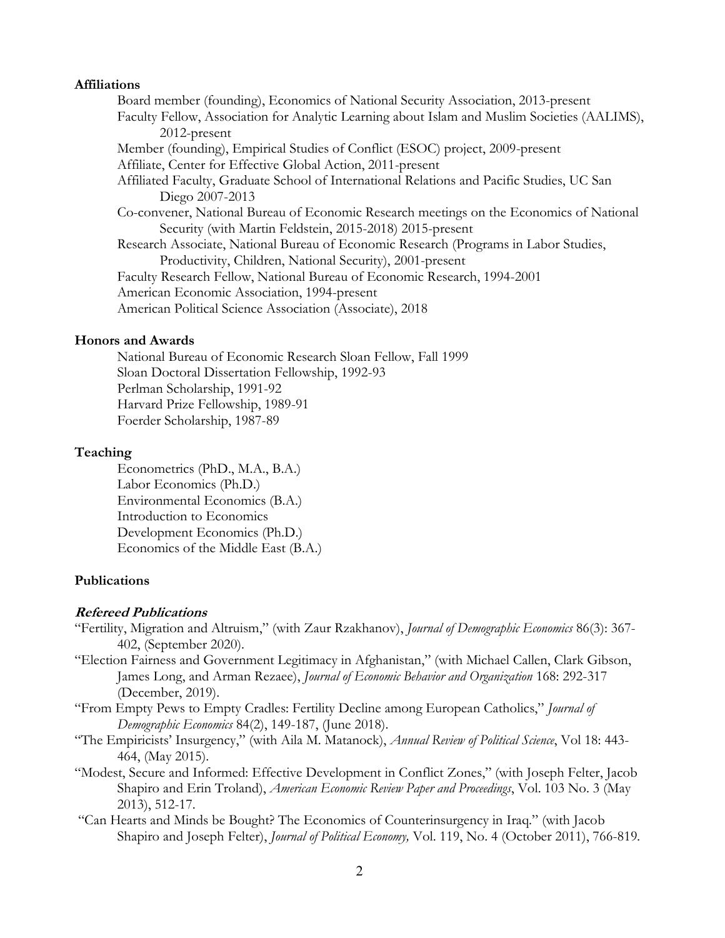### **Affiliations**

Board member (founding), Economics of National Security Association, 2013-present Faculty Fellow, Association for Analytic Learning about Islam and Muslim Societies (AALIMS), 2012-present Member (founding), Empirical Studies of Conflict (ESOC) project, 2009-present Affiliate, Center for Effective Global Action, 2011-present Affiliated Faculty, Graduate School of International Relations and Pacific Studies, UC San Diego 2007-2013 Co-convener, National Bureau of Economic Research meetings on the Economics of National Security (with Martin Feldstein, 2015-2018) 2015-present Research Associate, National Bureau of Economic Research (Programs in Labor Studies, Productivity, Children, National Security), 2001-present Faculty Research Fellow, National Bureau of Economic Research, 1994-2001 American Economic Association, 1994-present American Political Science Association (Associate), 2018

# **Honors and Awards**

National Bureau of Economic Research Sloan Fellow, Fall 1999 Sloan Doctoral Dissertation Fellowship, 1992-93 Perlman Scholarship, 1991-92 Harvard Prize Fellowship, 1989-91 Foerder Scholarship, 1987-89

## **Teaching**

Econometrics (PhD., M.A., B.A.) Labor Economics (Ph.D.) Environmental Economics (B.A.) Introduction to Economics Development Economics (Ph.D.) Economics of the Middle East (B.A.)

# **Publications**

## **Refereed Publications**

- "Fertility, Migration and Altruism," (with Zaur Rzakhanov), *Journal of Demographic Economics* 86(3): 367- 402, (September 2020).
- "Election Fairness and Government Legitimacy in Afghanistan," (with Michael Callen, Clark Gibson, James Long, and Arman Rezaee), *Journal of Economic Behavior and Organization* 168: 292-317 (December, 2019).
- "From Empty Pews to Empty Cradles: Fertility Decline among European Catholics," *Journal of Demographic Economics* 84(2), 149-187, (June 2018).
- "The Empiricists' Insurgency," (with Aila M. Matanock), *Annual Review of Political Science*, Vol 18: 443- 464, (May 2015).
- "Modest, Secure and Informed: Effective Development in Conflict Zones," (with Joseph Felter, Jacob Shapiro and Erin Troland), *American Economic Review Paper and Proceedings*, Vol. 103 No. 3 (May 2013), 512-17.
- "Can Hearts and Minds be Bought? The Economics of Counterinsurgency in Iraq." (with Jacob Shapiro and Joseph Felter), *Journal of Political Economy,* Vol. 119, No. 4 (October 2011), 766-819*.*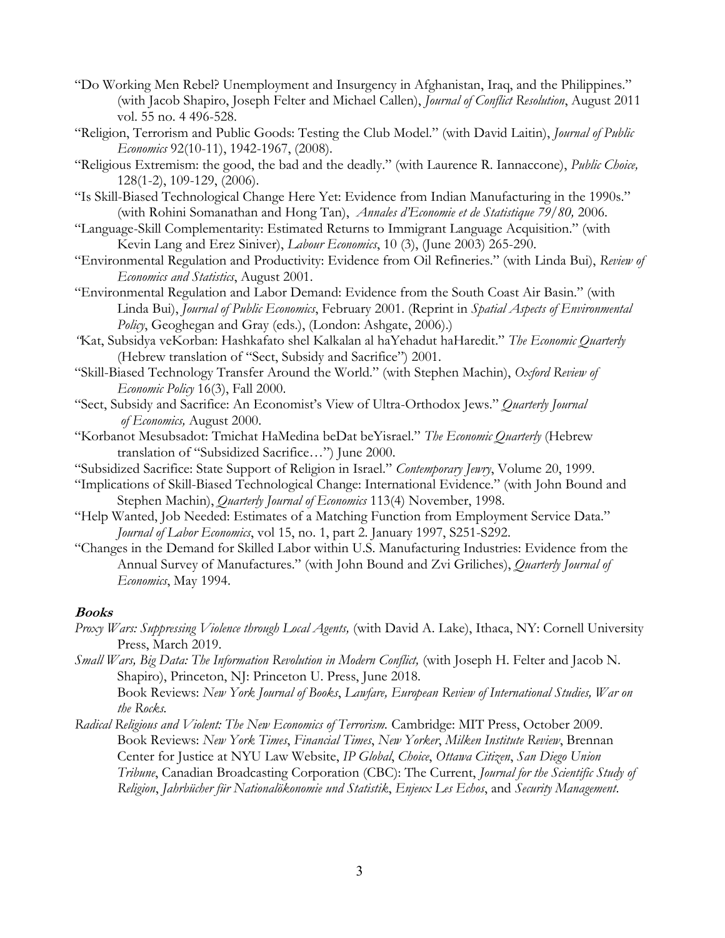- "Do Working Men Rebel? Unemployment and Insurgency in Afghanistan, Iraq, and the Philippines." (with Jacob Shapiro, Joseph Felter and Michael Callen), *Journal of Conflict Resolution*, August 2011 vol. 55 no. 4 496-528.
- "Religion, Terrorism and Public Goods: Testing the Club Model." (with David Laitin), *Journal of Public Economics* 92(10-11), 1942-1967, (2008).
- "Religious Extremism: the good, the bad and the deadly." (with Laurence R. Iannaccone), *Public Choice,*  128(1-2), 109-129, (2006).
- "Is Skill-Biased Technological Change Here Yet: Evidence from Indian Manufacturing in the 1990s." (with Rohini Somanathan and Hong Tan), *Annales d'Economie et de Statistique 79/80,* 2006.
- "Language-Skill Complementarity: Estimated Returns to Immigrant Language Acquisition." (with Kevin Lang and Erez Siniver), *Labour Economics*, 10 (3), (June 2003) 265-290.
- "Environmental Regulation and Productivity: Evidence from Oil Refineries." (with Linda Bui), *Review of Economics and Statistics*, August 2001.
- "Environmental Regulation and Labor Demand: Evidence from the South Coast Air Basin." (with Linda Bui), *Journal of Public Economics*, February 2001. (Reprint in *Spatial Aspects of Environmental Policy*, Geoghegan and Gray (eds.), (London: Ashgate, 2006).)
- *"*Kat, Subsidya veKorban: Hashkafato shel Kalkalan al haYehadut haHaredit." *The Economic Quarterly* (Hebrew translation of "Sect, Subsidy and Sacrifice") 2001.
- "Skill-Biased Technology Transfer Around the World." (with Stephen Machin), *Oxford Review of Economic Policy* 16(3), Fall 2000.
- "Sect, Subsidy and Sacrifice: An Economist's View of Ultra-Orthodox Jews." *Quarterly Journal of Economics,* August 2000.
- "Korbanot Mesubsadot: Tmichat HaMedina beDat beYisrael." *The Economic Quarterly* (Hebrew translation of "Subsidized Sacrifice…") June 2000.
- "Subsidized Sacrifice: State Support of Religion in Israel." *Contemporary Jewry*, Volume 20, 1999.
- "Implications of Skill-Biased Technological Change: International Evidence." (with John Bound and Stephen Machin), *Quarterly Journal of Economics* 113(4) November, 1998.
- "Help Wanted, Job Needed: Estimates of a Matching Function from Employment Service Data." *Journal of Labor Economics*, vol 15, no. 1, part 2. January 1997, S251-S292.
- "Changes in the Demand for Skilled Labor within U.S. Manufacturing Industries: Evidence from the Annual Survey of Manufactures." (with John Bound and Zvi Griliches), *Quarterly Journal of Economics*, May 1994.

# **Books**

*Proxy Wars: Suppressing Violence through Local Agents,* (with David A. Lake), Ithaca, NY: Cornell University Press, March 2019.

*Small Wars, Big Data: The Information Revolution in Modern Conflict,* (with Joseph H. Felter and Jacob N. Shapiro), Princeton, NJ: Princeton U. Press, June 2018. Book Reviews: *New York Journal of Books*, *Lawfare, European Review of International Studies, War on the Rocks.*

*Radical Religious and Violent: The New Economics of Terrorism.* Cambridge: MIT Press, October 2009. Book Reviews: *New York Times*, *Financial Times*, *New Yorker*, *Milken Institute Review*, Brennan Center for Justice at NYU Law Website, *IP Global*, *Choice*, *Ottawa Citizen*, *San Diego Union Tribune*, Canadian Broadcasting Corporation (CBC): The Current, *Journal for the Scientific Study of Religion*, *Jahrbücher für Nationalökonomie und Statistik*, *Enjeux Les Echos*, and *Security Management*.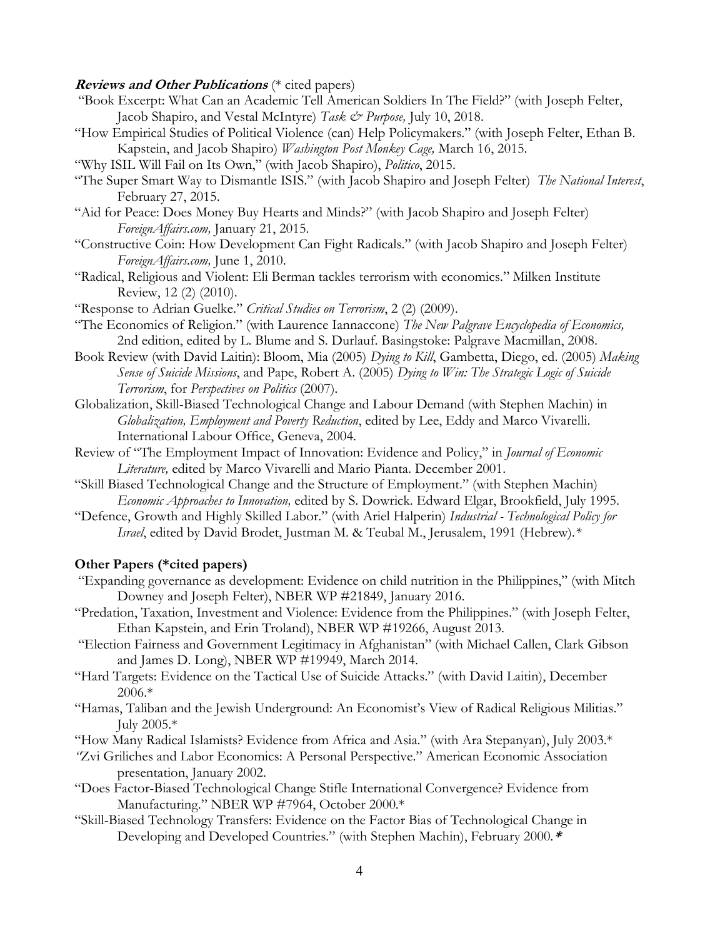### **Reviews and Other Publications** (\* cited papers)

- "Book Excerpt: What Can an Academic Tell American Soldiers In The Field?" (with Joseph Felter, Jacob Shapiro, and Vestal McIntyre) *Task & Purpose,* July 10, 2018.
- "How Empirical Studies of Political Violence (can) Help Policymakers." (with Joseph Felter, Ethan B. Kapstein, and Jacob Shapiro) *Washington Post Monkey Cage,* March 16, 2015.
- "Why ISIL Will Fail on Its Own," (with Jacob Shapiro), *Politico*, 2015.
- "The Super Smart Way to Dismantle ISIS." (with Jacob Shapiro and Joseph Felter) *The National Interest*, February 27, 2015.
- "Aid for Peace: Does Money Buy Hearts and Minds?" (with Jacob Shapiro and Joseph Felter) *ForeignAffairs.com,* January 21, 2015.
- "Constructive Coin: How Development Can Fight Radicals." (with Jacob Shapiro and Joseph Felter) *ForeignAffairs.com,* June 1, 2010.
- "Radical, Religious and Violent: Eli Berman tackles terrorism with economics." Milken Institute Review, 12 (2) (2010).
- "Response to Adrian Guelke." *Critical Studies on Terrorism*, 2 (2) (2009).
- "The Economics of Religion." (with Laurence Iannaccone) *The New Palgrave Encyclopedia of Economics,*  2nd edition, edited by L. Blume and S. Durlauf. Basingstoke: Palgrave Macmillan, 2008.
- Book Review (with David Laitin): Bloom, Mia (2005) *Dying to Kill*, Gambetta, Diego, ed. (2005) *Making Sense of Suicide Missions*, and Pape, Robert A. (2005) *Dying to Win: The Strategic Logic of Suicide Terrorism*, for *Perspectives on Politics* (2007)*.*
- Globalization, Skill-Biased Technological Change and Labour Demand (with Stephen Machin) in *Globalization, Employment and Poverty Reduction*, edited by Lee, Eddy and Marco Vivarelli. International Labour Office, Geneva, 2004.
- Review of "The Employment Impact of Innovation: Evidence and Policy," in *Journal of Economic Literature,* edited by Marco Vivarelli and Mario Pianta. December 2001.
- "Skill Biased Technological Change and the Structure of Employment." (with Stephen Machin) *Economic Approaches to Innovation,* edited by S. Dowrick. Edward Elgar, Brookfield, July 1995.
- "Defence, Growth and Highly Skilled Labor." (with Ariel Halperin) *Industrial - Technological Policy for Israel*, edited by David Brodet, Justman M. & Teubal M., Jerusalem, 1991 (Hebrew).*\**

### **Other Papers (\*cited papers)**

- "Expanding governance as development: Evidence on child nutrition in the Philippines," (with Mitch Downey and Joseph Felter), NBER WP #21849, January 2016.
- "Predation, Taxation, Investment and Violence: Evidence from the Philippines." (with Joseph Felter, Ethan Kapstein, and Erin Troland), NBER WP #19266, August 2013.
- "Election Fairness and Government Legitimacy in Afghanistan" (with Michael Callen, Clark Gibson and James D. Long), NBER WP #19949, March 2014.
- "Hard Targets: Evidence on the Tactical Use of Suicide Attacks." (with David Laitin), December 2006.\*
- "Hamas, Taliban and the Jewish Underground: An Economist's View of Radical Religious Militias." July 2005.\*
- "How Many Radical Islamists? Evidence from Africa and Asia." (with Ara Stepanyan), July 2003.\*
- *"*Zvi Griliches and Labor Economics: A Personal Perspective." American Economic Association presentation, January 2002.
- "Does Factor-Biased Technological Change Stifle International Convergence? Evidence from Manufacturing." NBER WP #7964, October 2000.\*
- "Skill-Biased Technology Transfers: Evidence on the Factor Bias of Technological Change in Developing and Developed Countries." (with Stephen Machin), February 2000.**\***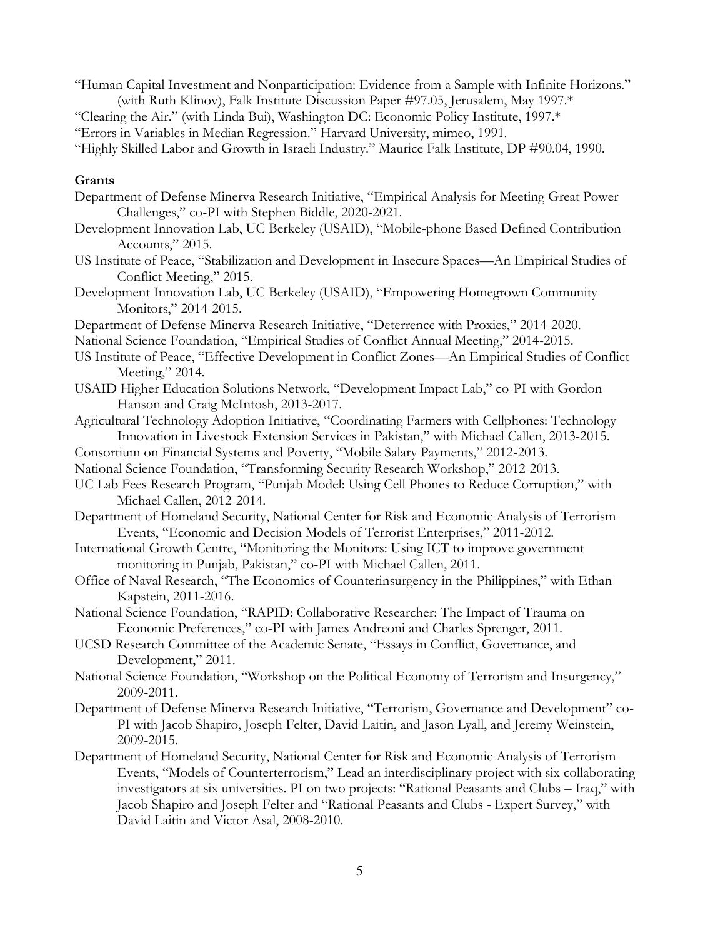- "Human Capital Investment and Nonparticipation: Evidence from a Sample with Infinite Horizons." (with Ruth Klinov), Falk Institute Discussion Paper #97.05, Jerusalem, May 1997.\*
- "Clearing the Air." (with Linda Bui), Washington DC: Economic Policy Institute, 1997.\*

"Errors in Variables in Median Regression." Harvard University, mimeo, 1991.

"Highly Skilled Labor and Growth in Israeli Industry." Maurice Falk Institute, DP #90.04, 1990.

### **Grants**

- Department of Defense Minerva Research Initiative, "Empirical Analysis for Meeting Great Power Challenges," co-PI with Stephen Biddle, 2020-2021.
- Development Innovation Lab, UC Berkeley (USAID), "Mobile-phone Based Defined Contribution Accounts," 2015.
- US Institute of Peace, "Stabilization and Development in Insecure Spaces—An Empirical Studies of Conflict Meeting," 2015.
- Development Innovation Lab, UC Berkeley (USAID), "Empowering Homegrown Community Monitors," 2014-2015.
- Department of Defense Minerva Research Initiative, "Deterrence with Proxies," 2014-2020.
- National Science Foundation, "Empirical Studies of Conflict Annual Meeting," 2014-2015.
- US Institute of Peace, "Effective Development in Conflict Zones—An Empirical Studies of Conflict Meeting," 2014.
- USAID Higher Education Solutions Network, "Development Impact Lab," co-PI with Gordon Hanson and Craig McIntosh, 2013-2017.
- Agricultural Technology Adoption Initiative, "Coordinating Farmers with Cellphones: Technology Innovation in Livestock Extension Services in Pakistan," with Michael Callen, 2013-2015.
- Consortium on Financial Systems and Poverty, "Mobile Salary Payments," 2012-2013.
- National Science Foundation, "Transforming Security Research Workshop," 2012-2013.
- UC Lab Fees Research Program, "Punjab Model: Using Cell Phones to Reduce Corruption," with Michael Callen, 2012-2014.
- Department of Homeland Security, National Center for Risk and Economic Analysis of Terrorism Events, "Economic and Decision Models of Terrorist Enterprises," 2011-2012.
- International Growth Centre, "Monitoring the Monitors: Using ICT to improve government monitoring in Punjab, Pakistan," co-PI with Michael Callen, 2011.
- Office of Naval Research, "The Economics of Counterinsurgency in the Philippines," with Ethan Kapstein, 2011-2016.
- National Science Foundation, "RAPID: Collaborative Researcher: The Impact of Trauma on Economic Preferences," co-PI with James Andreoni and Charles Sprenger, 2011.
- UCSD Research Committee of the Academic Senate, "Essays in Conflict, Governance, and Development," 2011.
- National Science Foundation, "Workshop on the Political Economy of Terrorism and Insurgency," 2009-2011.
- Department of Defense Minerva Research Initiative, "Terrorism, Governance and Development" co-PI with Jacob Shapiro, Joseph Felter, David Laitin, and Jason Lyall, and Jeremy Weinstein, 2009-2015.
- Department of Homeland Security, National Center for Risk and Economic Analysis of Terrorism Events, "Models of Counterterrorism," Lead an interdisciplinary project with six collaborating investigators at six universities. PI on two projects: "Rational Peasants and Clubs – Iraq," with Jacob Shapiro and Joseph Felter and "Rational Peasants and Clubs - Expert Survey," with David Laitin and Victor Asal, 2008-2010.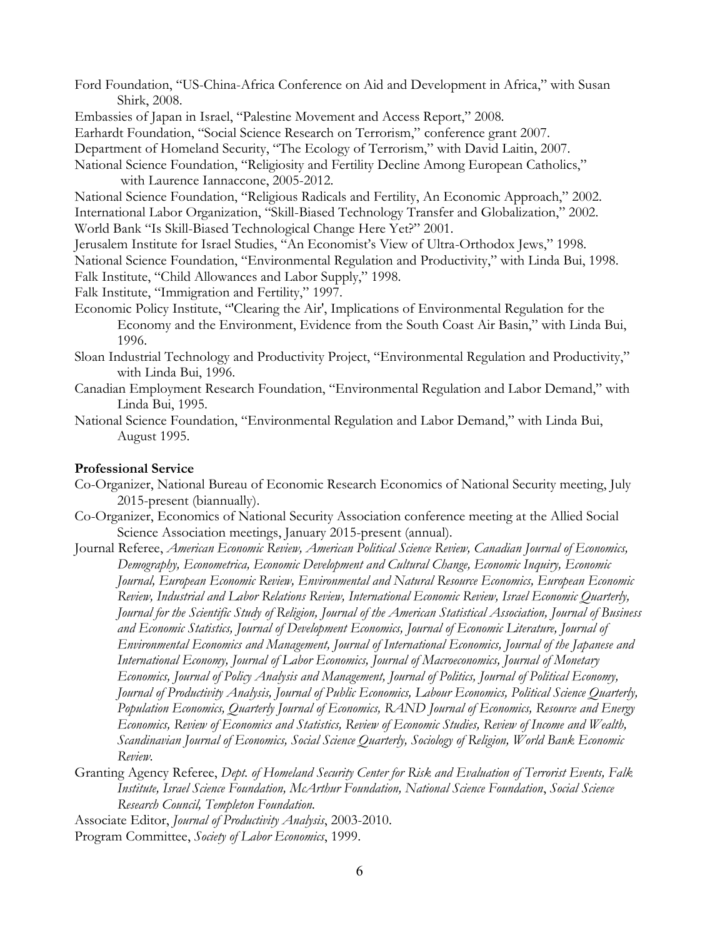- Ford Foundation, "US-China-Africa Conference on Aid and Development in Africa," with Susan Shirk, 2008.
- Embassies of Japan in Israel, "Palestine Movement and Access Report," 2008.
- Earhardt Foundation, "Social Science Research on Terrorism," conference grant 2007.
- Department of Homeland Security, "The Ecology of Terrorism," with David Laitin, 2007.
- National Science Foundation, "Religiosity and Fertility Decline Among European Catholics," with Laurence Iannaccone, 2005-2012.
- National Science Foundation, "Religious Radicals and Fertility, An Economic Approach," 2002. International Labor Organization, "Skill-Biased Technology Transfer and Globalization," 2002. World Bank "Is Skill-Biased Technological Change Here Yet?" 2001.
- Jerusalem Institute for Israel Studies, "An Economist's View of Ultra-Orthodox Jews," 1998. National Science Foundation, "Environmental Regulation and Productivity," with Linda Bui, 1998.
- Falk Institute, "Child Allowances and Labor Supply," 1998.
- Falk Institute, "Immigration and Fertility," 1997.
- Economic Policy Institute, "'Clearing the Air', Implications of Environmental Regulation for the Economy and the Environment, Evidence from the South Coast Air Basin," with Linda Bui, 1996.
- Sloan Industrial Technology and Productivity Project, "Environmental Regulation and Productivity," with Linda Bui, 1996.
- Canadian Employment Research Foundation, "Environmental Regulation and Labor Demand," with Linda Bui, 1995.
- National Science Foundation, "Environmental Regulation and Labor Demand," with Linda Bui, August 1995.

### **Professional Service**

- Co-Organizer, National Bureau of Economic Research Economics of National Security meeting, July 2015-present (biannually).
- Co-Organizer, Economics of National Security Association conference meeting at the Allied Social Science Association meetings, January 2015-present (annual).
- Journal Referee, *American Economic Review, American Political Science Review, Canadian Journal of Economics, Demography, Econometrica, Economic Development and Cultural Change, Economic Inquiry, Economic Journal, European Economic Review, Environmental and Natural Resource Economics, European Economic Review, Industrial and Labor Relations Review, International Economic Review, Israel Economic Quarterly, Journal for the Scientific Study of Religion, Journal of the American Statistical Association, Journal of Business and Economic Statistics, Journal of Development Economics, Journal of Economic Literature, Journal of Environmental Economics and Management, Journal of International Economics, Journal of the Japanese and International Economy, Journal of Labor Economics, Journal of Macroeconomics, Journal of Monetary Economics, Journal of Policy Analysis and Management, Journal of Politics, Journal of Political Economy, Journal of Productivity Analysis, Journal of Public Economics, Labour Economics, Political Science Quarterly, Population Economics, Quarterly Journal of Economics, RAND Journal of Economics, Resource and Energy Economics, Review of Economics and Statistics, Review of Economic Studies, Review of Income and Wealth, Scandinavian Journal of Economics, Social Science Quarterly, Sociology of Religion, World Bank Economic Review.*
- Granting Agency Referee, *Dept. of Homeland Security Center for Risk and Evaluation of Terrorist Events, Falk Institute, Israel Science Foundation, McArthur Foundation, National Science Foundation*, *Social Science Research Council, Templeton Foundation.*
- Associate Editor, *Journal of Productivity Analysis*, 2003-2010.
- Program Committee, *Society of Labor Economics*, 1999.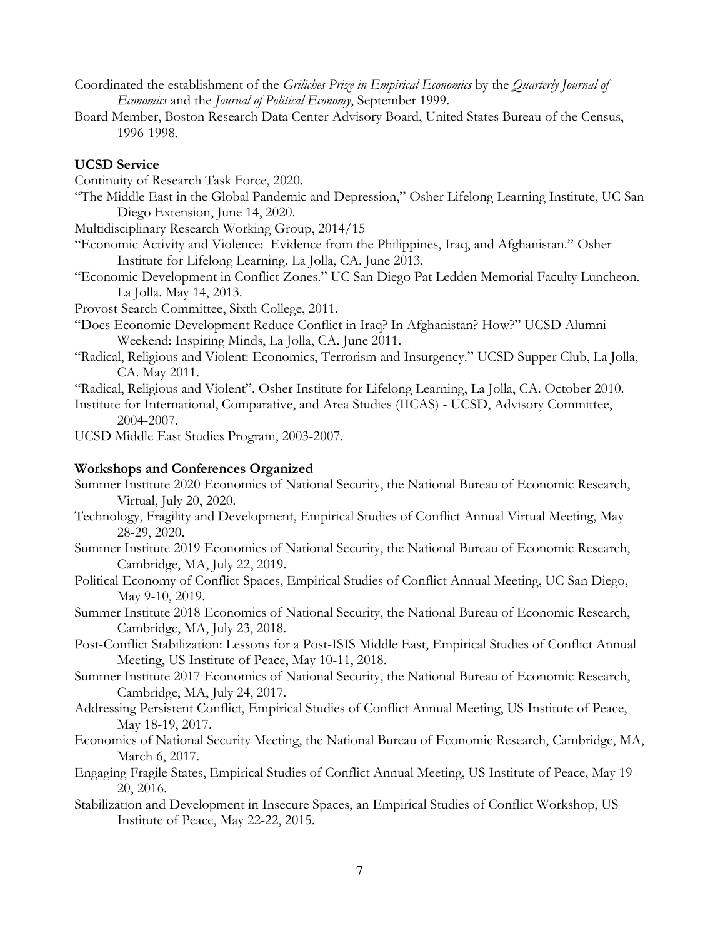- Coordinated the establishment of the *Griliches Prize in Empirical Economics* by the *Quarterly Journal of Economics* and the *Journal of Political Economy*, September 1999.
- Board Member, Boston Research Data Center Advisory Board, United States Bureau of the Census, 1996-1998.

### **UCSD Service**

Continuity of Research Task Force, 2020.

"The Middle East in the Global Pandemic and Depression," Osher Lifelong Learning Institute, UC San Diego Extension, June 14, 2020.

Multidisciplinary Research Working Group, 2014/15

- "Economic Activity and Violence: Evidence from the Philippines, Iraq, and Afghanistan." Osher Institute for Lifelong Learning. La Jolla, CA. June 2013.
- "Economic Development in Conflict Zones." UC San Diego Pat Ledden Memorial Faculty Luncheon. La Jolla. May 14, 2013.

Provost Search Committee, Sixth College, 2011.

- "Does Economic Development Reduce Conflict in Iraq? In Afghanistan? How?" UCSD Alumni Weekend: Inspiring Minds, La Jolla, CA. June 2011.
- "Radical, Religious and Violent: Economics, Terrorism and Insurgency." UCSD Supper Club, La Jolla, CA. May 2011.

"Radical, Religious and Violent". Osher Institute for Lifelong Learning, La Jolla, CA. October 2010.

Institute for International, Comparative, and Area Studies (IICAS) - UCSD, Advisory Committee, 2004-2007.

UCSD Middle East Studies Program, 2003-2007.

### **Workshops and Conferences Organized**

- Summer Institute 2020 Economics of National Security, the National Bureau of Economic Research, Virtual, July 20, 2020.
- Technology, Fragility and Development, Empirical Studies of Conflict Annual Virtual Meeting, May 28-29, 2020.
- Summer Institute 2019 Economics of National Security, the National Bureau of Economic Research, Cambridge, MA, July 22, 2019.
- Political Economy of Conflict Spaces, Empirical Studies of Conflict Annual Meeting, UC San Diego, May 9-10, 2019.
- Summer Institute 2018 Economics of National Security, the National Bureau of Economic Research, Cambridge, MA, July 23, 2018.
- Post-Conflict Stabilization: Lessons for a Post-ISIS Middle East, Empirical Studies of Conflict Annual Meeting, US Institute of Peace, May 10-11, 2018.
- Summer Institute 2017 Economics of National Security, the National Bureau of Economic Research, Cambridge, MA, July 24, 2017.
- Addressing Persistent Conflict, Empirical Studies of Conflict Annual Meeting, US Institute of Peace, May 18-19, 2017.
- Economics of National Security Meeting, the National Bureau of Economic Research, Cambridge, MA, March 6, 2017.
- Engaging Fragile States, Empirical Studies of Conflict Annual Meeting, US Institute of Peace, May 19- 20, 2016.
- Stabilization and Development in Insecure Spaces, an Empirical Studies of Conflict Workshop, US Institute of Peace, May 22-22, 2015.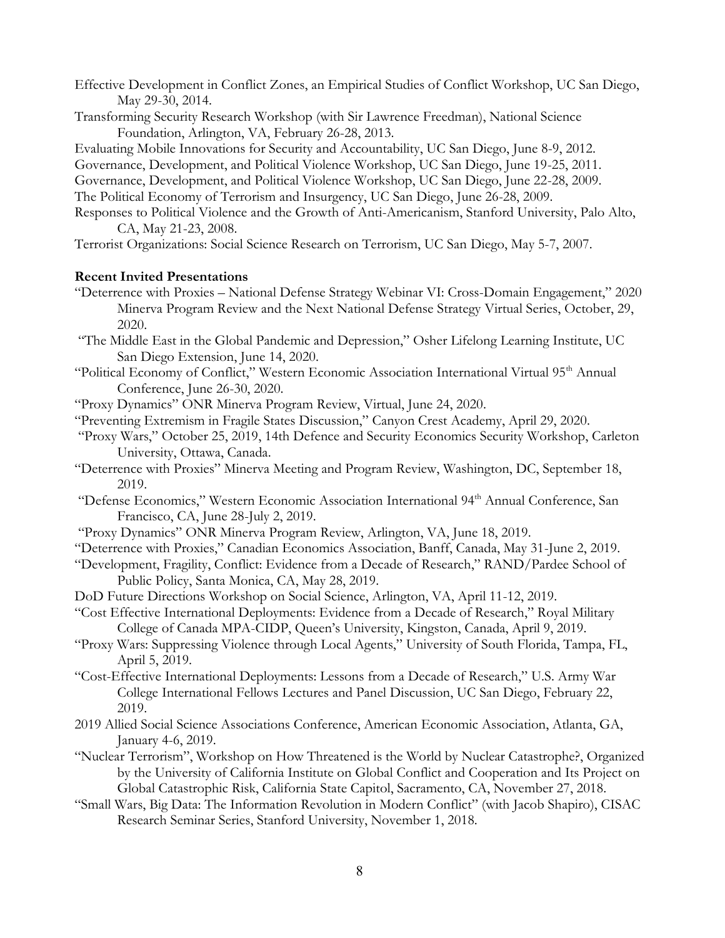- Effective Development in Conflict Zones, an Empirical Studies of Conflict Workshop, UC San Diego, May 29-30, 2014.
- Transforming Security Research Workshop (with Sir Lawrence Freedman), National Science Foundation, Arlington, VA, February 26-28, 2013.

Evaluating Mobile Innovations for Security and Accountability, UC San Diego, June 8-9, 2012.

Governance, Development, and Political Violence Workshop, UC San Diego, June 19-25, 2011.

Governance, Development, and Political Violence Workshop, UC San Diego, June 22-28, 2009. The Political Economy of Terrorism and Insurgency, UC San Diego, June 26-28, 2009.

Responses to Political Violence and the Growth of Anti-Americanism, Stanford University, Palo Alto, CA, May 21-23, 2008.

Terrorist Organizations: Social Science Research on Terrorism, UC San Diego, May 5-7, 2007.

# **Recent Invited Presentations**

- "Deterrence with Proxies National Defense Strategy Webinar VI: Cross-Domain Engagement," 2020 Minerva Program Review and the Next National Defense Strategy Virtual Series, October, 29, 2020.
- "The Middle East in the Global Pandemic and Depression," Osher Lifelong Learning Institute, UC San Diego Extension, June 14, 2020.
- "Political Economy of Conflict," Western Economic Association International Virtual 95<sup>th</sup> Annual Conference, June 26-30, 2020.
- "Proxy Dynamics" ONR Minerva Program Review, Virtual, June 24, 2020.
- "Preventing Extremism in Fragile States Discussion," Canyon Crest Academy, April 29, 2020.
- "Proxy Wars," October 25, 2019, 14th Defence and Security Economics Security Workshop, Carleton University, Ottawa, Canada.
- "Deterrence with Proxies" Minerva Meeting and Program Review, Washington, DC, September 18, 2019.
- "Defense Economics," Western Economic Association International 94<sup>th</sup> Annual Conference, San Francisco, CA, June 28-July 2, 2019.
- "Proxy Dynamics" ONR Minerva Program Review, Arlington, VA, June 18, 2019.
- "Deterrence with Proxies," Canadian Economics Association, Banff, Canada, May 31-June 2, 2019.
- "Development, Fragility, Conflict: Evidence from a Decade of Research," RAND/Pardee School of Public Policy, Santa Monica, CA, May 28, 2019.
- DoD Future Directions Workshop on Social Science, Arlington, VA, April 11-12, 2019.
- "Cost Effective International Deployments: Evidence from a Decade of Research," Royal Military College of Canada MPA-CIDP, Queen's University, Kingston, Canada, April 9, 2019.
- "Proxy Wars: Suppressing Violence through Local Agents," University of South Florida, Tampa, FL, April 5, 2019.
- "Cost-Effective International Deployments: Lessons from a Decade of Research," U.S. Army War College International Fellows Lectures and Panel Discussion, UC San Diego, February 22, 2019.
- 2019 Allied Social Science Associations Conference, American Economic Association, Atlanta, GA, January 4-6, 2019.
- "Nuclear Terrorism", Workshop on How Threatened is the World by Nuclear Catastrophe?, Organized by the University of California Institute on Global Conflict and Cooperation and Its Project on Global Catastrophic Risk, California State Capitol, Sacramento, CA, November 27, 2018.
- "Small Wars, Big Data: The Information Revolution in Modern Conflict" (with Jacob Shapiro), CISAC Research Seminar Series, Stanford University, November 1, 2018.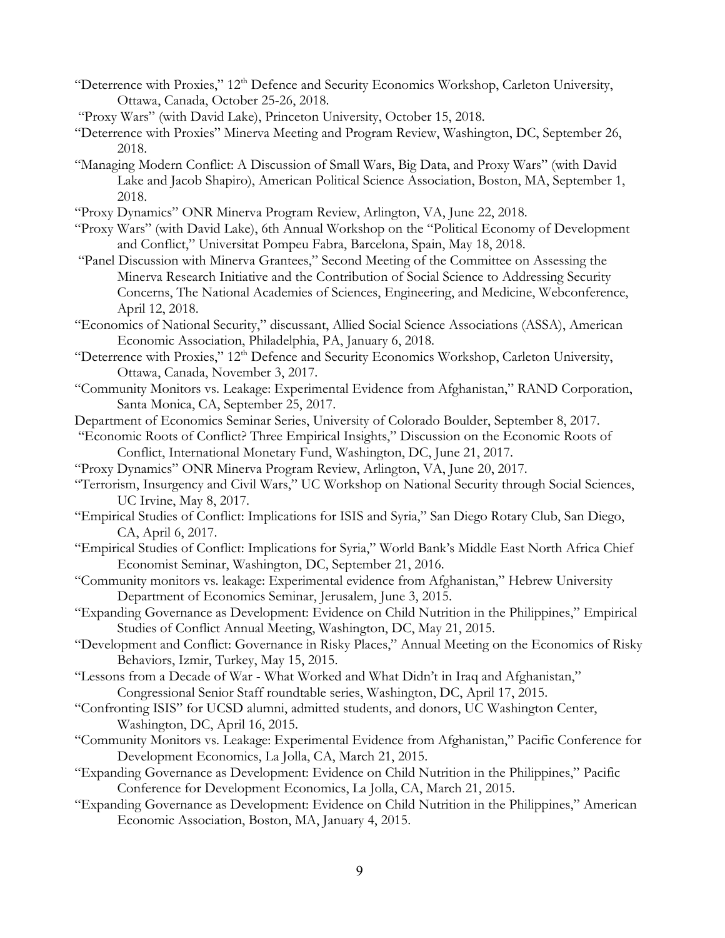- "Deterrence with Proxies," 12<sup>th</sup> Defence and Security Economics Workshop, Carleton University, Ottawa, Canada, October 25-26, 2018.
- "Proxy Wars" (with David Lake), Princeton University, October 15, 2018.
- "Deterrence with Proxies" Minerva Meeting and Program Review, Washington, DC, September 26, 2018.
- "Managing Modern Conflict: A Discussion of Small Wars, Big Data, and Proxy Wars" (with David Lake and Jacob Shapiro), American Political Science Association, Boston, MA, September 1, 2018.
- "Proxy Dynamics" ONR Minerva Program Review, Arlington, VA, June 22, 2018.
- "Proxy Wars" (with David Lake), 6th Annual Workshop on the "Political Economy of Development and Conflict," Universitat Pompeu Fabra, Barcelona, Spain, May 18, 2018.
- "Panel Discussion with Minerva Grantees," Second Meeting of the Committee on Assessing the Minerva Research Initiative and the Contribution of Social Science to Addressing Security Concerns, The National Academies of Sciences, Engineering, and Medicine, Webconference, April 12, 2018.
- "Economics of National Security," discussant, Allied Social Science Associations (ASSA), American Economic Association, Philadelphia, PA, January 6, 2018.
- "Deterrence with Proxies," 12<sup>th</sup> Defence and Security Economics Workshop, Carleton University, Ottawa, Canada, November 3, 2017.
- "Community Monitors vs. Leakage: Experimental Evidence from Afghanistan," RAND Corporation, Santa Monica, CA, September 25, 2017.
- Department of Economics Seminar Series, University of Colorado Boulder, September 8, 2017.
- "Economic Roots of Conflict? Three Empirical Insights," Discussion on the Economic Roots of Conflict, International Monetary Fund, Washington, DC, June 21, 2017.
- "Proxy Dynamics" ONR Minerva Program Review, Arlington, VA, June 20, 2017.
- "Terrorism, Insurgency and Civil Wars," UC Workshop on National Security through Social Sciences, UC Irvine, May 8, 2017.
- "Empirical Studies of Conflict: Implications for ISIS and Syria," San Diego Rotary Club, San Diego, CA, April 6, 2017.
- "Empirical Studies of Conflict: Implications for Syria," World Bank's Middle East North Africa Chief Economist Seminar, Washington, DC, September 21, 2016.
- "Community monitors vs. leakage: Experimental evidence from Afghanistan," Hebrew University Department of Economics Seminar, Jerusalem, June 3, 2015.
- "Expanding Governance as Development: Evidence on Child Nutrition in the Philippines," Empirical Studies of Conflict Annual Meeting, Washington, DC, May 21, 2015.
- "Development and Conflict: Governance in Risky Places," Annual Meeting on the Economics of Risky Behaviors, Izmir, Turkey, May 15, 2015.
- "Lessons from a Decade of War What Worked and What Didn't in Iraq and Afghanistan," Congressional Senior Staff roundtable series, Washington, DC, April 17, 2015.
- "Confronting ISIS" for UCSD alumni, admitted students, and donors, UC Washington Center, Washington, DC, April 16, 2015.
- "Community Monitors vs. Leakage: Experimental Evidence from Afghanistan," Pacific Conference for Development Economics, La Jolla, CA, March 21, 2015.
- "Expanding Governance as Development: Evidence on Child Nutrition in the Philippines," Pacific Conference for Development Economics, La Jolla, CA, March 21, 2015.
- "Expanding Governance as Development: Evidence on Child Nutrition in the Philippines," American Economic Association, Boston, MA, January 4, 2015.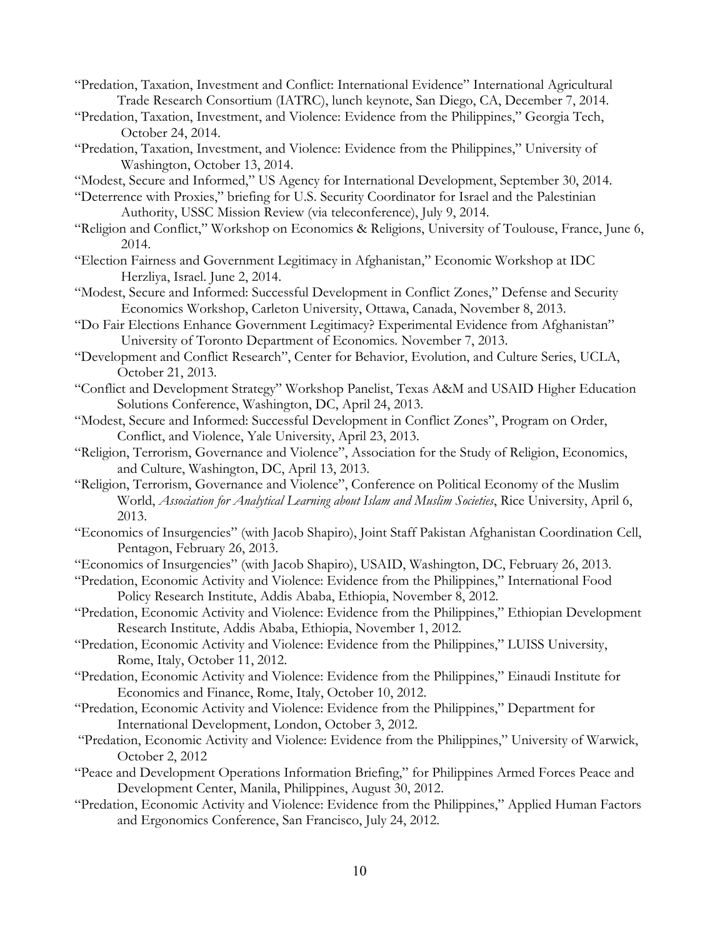- "Predation, Taxation, Investment and Conflict: International Evidence" International Agricultural Trade Research Consortium (IATRC), lunch keynote, San Diego, CA, December 7, 2014.
- "Predation, Taxation, Investment, and Violence: Evidence from the Philippines," Georgia Tech, October 24, 2014.
- "Predation, Taxation, Investment, and Violence: Evidence from the Philippines," University of Washington, October 13, 2014.
- "Modest, Secure and Informed," US Agency for International Development, September 30, 2014.
- "Deterrence with Proxies," briefing for U.S. Security Coordinator for Israel and the Palestinian Authority, USSC Mission Review (via teleconference), July 9, 2014.
- "Religion and Conflict," Workshop on Economics & Religions, University of Toulouse, France, June 6, 2014.
- "Election Fairness and Government Legitimacy in Afghanistan," Economic Workshop at IDC Herzliya, Israel. June 2, 2014.
- "Modest, Secure and Informed: Successful Development in Conflict Zones," Defense and Security Economics Workshop, Carleton University, Ottawa, Canada, November 8, 2013.
- "Do Fair Elections Enhance Government Legitimacy? Experimental Evidence from Afghanistan" University of Toronto Department of Economics. November 7, 2013.
- "Development and Conflict Research", Center for Behavior, Evolution, and Culture Series, UCLA, October 21, 2013.
- "Conflict and Development Strategy" Workshop Panelist, Texas A&M and USAID Higher Education Solutions Conference, Washington, DC, April 24, 2013.
- "Modest, Secure and Informed: Successful Development in Conflict Zones", Program on Order, Conflict, and Violence, Yale University, April 23, 2013.
- "Religion, Terrorism, Governance and Violence", Association for the Study of Religion, Economics, and Culture, Washington, DC, April 13, 2013.
- "Religion, Terrorism, Governance and Violence", Conference on Political Economy of the Muslim World, *Association for Analytical Learning about Islam and Muslim Societies*, Rice University, April 6, 2013.
- "Economics of Insurgencies" (with Jacob Shapiro), Joint Staff Pakistan Afghanistan Coordination Cell, Pentagon, February 26, 2013.
- "Economics of Insurgencies" (with Jacob Shapiro), USAID, Washington, DC, February 26, 2013.
- "Predation, Economic Activity and Violence: Evidence from the Philippines," International Food Policy Research Institute, Addis Ababa, Ethiopia, November 8, 2012.
- "Predation, Economic Activity and Violence: Evidence from the Philippines," Ethiopian Development Research Institute, Addis Ababa, Ethiopia, November 1, 2012.
- "Predation, Economic Activity and Violence: Evidence from the Philippines," LUISS University, Rome, Italy, October 11, 2012.
- "Predation, Economic Activity and Violence: Evidence from the Philippines," Einaudi Institute for Economics and Finance, Rome, Italy, October 10, 2012.
- "Predation, Economic Activity and Violence: Evidence from the Philippines," Department for International Development, London, October 3, 2012.
- "Predation, Economic Activity and Violence: Evidence from the Philippines," University of Warwick, October 2, 2012
- "Peace and Development Operations Information Briefing," for Philippines Armed Forces Peace and Development Center, Manila, Philippines, August 30, 2012.
- "Predation, Economic Activity and Violence: Evidence from the Philippines," Applied Human Factors and Ergonomics Conference, San Francisco, July 24, 2012.